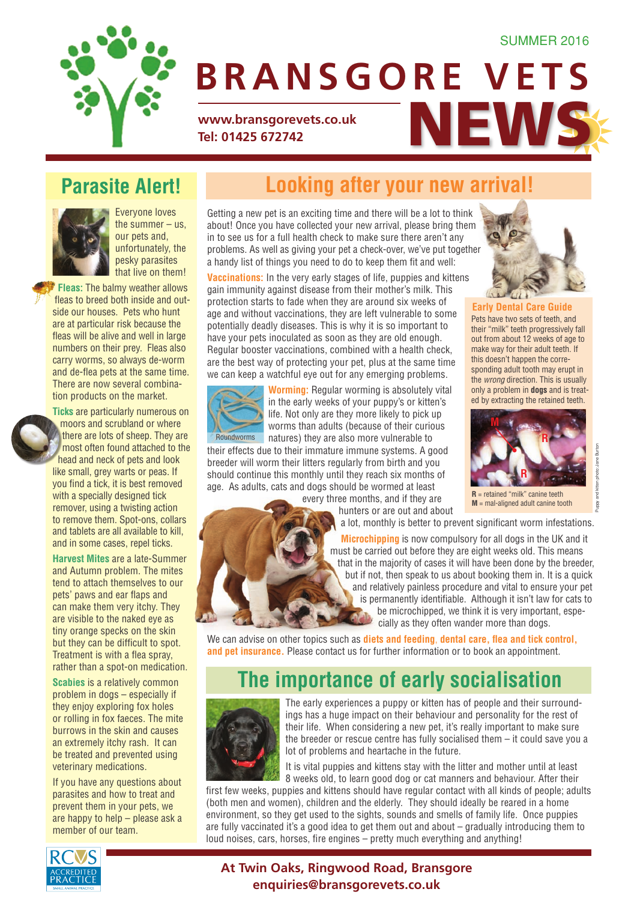#### SUMMER 2016



# WWW.bransgorevets.co.uk<br>Tel: 01425 672742 **BRANSGORE VETS**

**Tel: 01425 672742**

#### **Parasite Alert!**



Everyone loves the summer  $-$  us, our pets and, unfortunately, the pesky parasites that live on them!

**Fleas:** The balmy weather allows fleas to breed both inside and outside our houses. Pets who hunt are at particular risk because the fleas will be alive and well in large numbers on their prey. Fleas also carry worms, so always de-worm and de-flea pets at the same time. There are now several combination products on the market.



**Ticks** are particularly numerous on moors and scrubland or where there are lots of sheep. They are most often found attached to the head and neck of pets and look like small, grey warts or peas. If you find a tick, it is best removed with a specially designed tick remover, using a twisting action to remove them. Spot-ons, collars and tablets are all available to kill, and in some cases, repel ticks.

**Harvest Mites** are a late-Summer and Autumn problem. The mites tend to attach themselves to our pets' paws and ear flaps and can make them very itchy. They are visible to the naked eye as tiny orange specks on the skin but they can be difficult to spot. Treatment is with a flea spray, rather than a spot-on medication.

**Scabies** is a relatively common problem in dogs – especially if they enjoy exploring fox holes or rolling in fox faeces. The mite burrows in the skin and causes an extremely itchy rash. It can be treated and prevented using veterinary medications.

If you have any questions about parasites and how to treat and prevent them in your pets, we are happy to help – please ask a member of our team.

## **Looking after your new arrival!**

Getting a new pet is an exciting time and there will be a lot to think about! Once you have collected your new arrival, please bring them in to see us for a full health check to make sure there aren't any problems. As well as giving your pet a check-over, we've put together a handy list of things you need to do to keep them fit and well:

**Vaccinations:** In the very early stages of life, puppies and kittens gain immunity against disease from their mother's milk. This protection starts to fade when they are around six weeks of age and without vaccinations, they are left vulnerable to some potentially deadly diseases. This is why it is so important to have your pets inoculated as soon as they are old enough. Regular booster vaccinations, combined with a health check, are the best way of protecting your pet, plus at the same time we can keep a watchful eye out for any emerging problems.



**Worming:** Regular worming is absolutely vital in the early weeks of your puppy's or kitten's life. Not only are they more likely to pick up worms than adults (because of their curious natures) they are also more vulnerable to

their effects due to their immature immune systems. A good breeder will worm their litters regularly from birth and you should continue this monthly until they reach six months of age. As adults, cats and dogs should be wormed at least

every three months, and if they are hunters or are out and about

a lot, monthly is better to prevent significant worm infestations.

**Microchipping** is now compulsory for all dogs in the UK and it must be carried out before they are eight weeks old. This means that in the majority of cases it will have been done by the breeder, but if not, then speak to us about booking them in. It is a quick and relatively painless procedure and vital to ensure your pet is permanently identifiable. Although it isn't law for cats to be microchipped, we think it is very important, especially as they often wander more than dogs.

We can advise on other topics such as **diets and feeding**, **dental care, flea and tick control, and pet insurance.** Please contact us for further information or to book an appointment.

#### **The importance of early socialisation**



The early experiences a puppy or kitten has of people and their surroundings has a huge impact on their behaviour and personality for the rest of their life. When considering a new pet, it's really important to make sure the breeder or rescue centre has fully socialised them – it could save you a lot of problems and heartache in the future.

It is vital puppies and kittens stay with the litter and mother until at least 8 weeks old, to learn good dog or cat manners and behaviour. After their

first few weeks, puppies and kittens should have regular contact with all kinds of people; adults (both men and women), children and the elderly. They should ideally be reared in a home environment, so they get used to the sights, sounds and smells of family life. Once puppies are fully vaccinated it's a good idea to get them out and about – gradually introducing them to loud noises, cars, horses, fire engines – pretty much everything and anything!



#### **At Twin Oaks, Ringwood Road, Bransgore enquiries@bransgorevets.co.uk**



**Early Dental Care Guide** Pets have two sets of teeth, and their "milk" teeth progressively fall out from about 12 weeks of age to make way for their adult teeth. If this doesn't happen the corresponding adult tooth may erupt in the *wrong* direction. This is usually only a problem in **dogs** and is treated by extracting the retained teeth.



Puppy and kitten photo: Jane Burton

Vaar

**R** = retained "milk" canine teeth **M** = mal-aligned adult canine tooth